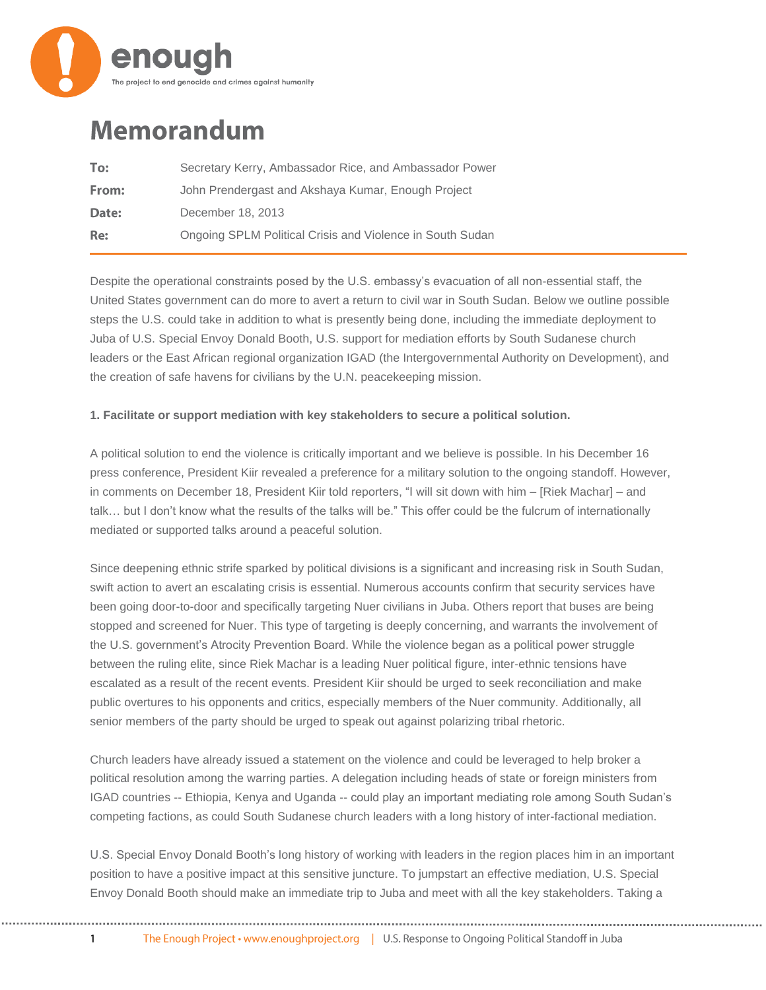

## **Memorandum**

| To:   | Secretary Kerry, Ambassador Rice, and Ambassador Power    |
|-------|-----------------------------------------------------------|
| From: | John Prendergast and Akshaya Kumar, Enough Project        |
| Date: | December 18, 2013                                         |
| Re:   | Ongoing SPLM Political Crisis and Violence in South Sudan |

Despite the operational constraints posed by the U.S. embassy's evacuation of all non-essential staff, the United States government can do more to avert a return to civil war in South Sudan. Below we outline possible steps the U.S. could take in addition to what is presently being done, including the immediate deployment to Juba of U.S. Special Envoy Donald Booth, U.S. support for mediation efforts by South Sudanese church leaders or the East African regional organization IGAD (the Intergovernmental Authority on Development), and the creation of safe havens for civilians by the U.N. peacekeeping mission.

## **1. Facilitate or support mediation with key stakeholders to secure a political solution.**

A political solution to end the violence is critically important and we believe is possible. In his December 16 press conference, President Kiir revealed a preference for a military solution to the ongoing standoff. However, in comments on December 18, President Kiir told reporters, "I will sit down with him – [Riek Machar] – and talk… but I don't know what the results of the talks will be." This offer could be the fulcrum of internationally mediated or supported talks around a peaceful solution.

Since deepening ethnic strife sparked by political divisions is a significant and increasing risk in South Sudan, swift action to avert an escalating crisis is essential. Numerous accounts confirm that security services have been going door-to-door and specifically targeting Nuer civilians in Juba. Others report that buses are being stopped and screened for Nuer. This type of targeting is deeply concerning, and warrants the involvement of the U.S. government's Atrocity Prevention Board. While the violence began as a political power struggle between the ruling elite, since Riek Machar is a leading Nuer political figure, inter-ethnic tensions have escalated as a result of the recent events. President Kiir should be urged to seek reconciliation and make public overtures to his opponents and critics, especially members of the Nuer community. Additionally, all senior members of the party should be urged to speak out against polarizing tribal rhetoric.

Church leaders have already issued a statement on the violence and could be leveraged to help broker a political resolution among the warring parties. A delegation including heads of state or foreign ministers from IGAD countries -- Ethiopia, Kenya and Uganda -- could play an important mediating role among South Sudan's competing factions, as could South Sudanese church leaders with a long history of inter-factional mediation.

U.S. Special Envoy Donald Booth's long history of working with leaders in the region places him in an important position to have a positive impact at this sensitive juncture. To jumpstart an effective mediation, U.S. Special Envoy Donald Booth should make an immediate trip to Juba and meet with all the key stakeholders. Taking a